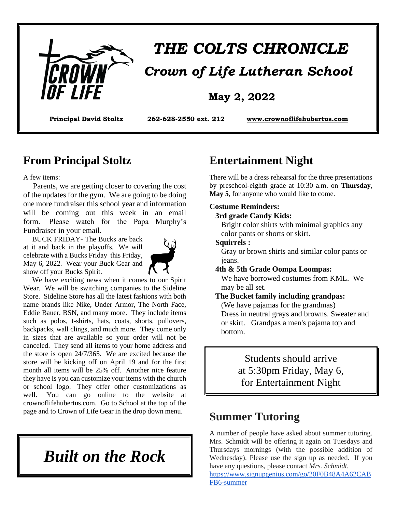

# *THE COLTS CHRONICLE*

### **May 2, 2022**

**Principal David Stoltz 262-628-2550 ext. 212 [www.crownoflifehubertus.com](http://www.crownoflifehubertus.com/)**

### **From Principal Stoltz**

A few items:

 Parents, we are getting closer to covering the cost of the updates for the gym. We are going to be doing one more fundraiser this school year and information will be coming out this week in an email form. Please watch for the Papa Murphy's Fundraiser in your email.

 BUCK FRIDAY- The Bucks are back at it and back in the playoffs. We will celebrate with a Bucks Friday this Friday, May 6, 2022. Wear your Buck Gear and show off your Bucks Spirit.



 We have exciting news when it comes to our Spirit Wear. We will be switching companies to the Sideline Store. Sideline Store has all the latest fashions with both name brands like Nike, Under Armor, The North Face, Eddie Bauer, BSN, and many more. They include items such as polos, t-shirts, hats, coats, shorts, pullovers, backpacks, wall clings, and much more. They come only in sizes that are available so your order will not be canceled. They send all items to your home address and the store is open 24/7/365. We are excited because the store will be kicking off on April 19 and for the first month all items will be 25% off. Another nice feature they have is you can customize your items with the church or school logo. They offer other customizations as well. You can go online to the website at crownoflifehubertus.com. Go to School at the top of the page and to Crown of Life Gear in the drop down menu.

*Built on the Rock*

# **Entertainment Night**

There will be a dress rehearsal for the three presentations by preschool-eighth grade at 10:30 a.m. on **Thursday, May 5**, for anyone who would like to come.

#### **Costume Reminders:**

#### **3rd grade Candy Kids:**

 Bright color shirts with minimal graphics any color pants or shorts or skirt.

#### **Squirrels :**

 Gray or brown shirts and similar color pants or jeans.

 **4th & 5th Grade Oompa Loompas:**

 We have borrowed costumes from KML. We may be all set.

 **The Bucket family including grandpas:** (We have pajamas for the grandmas) Dress in neutral grays and browns. Sweater and or skirt. Grandpas a men's pajama top and bottom.

> Students should arrive at 5:30pm Friday, May 6, for Entertainment Night

### **Summer Tutoring**

A number of people have asked about summer tutoring. Mrs. Schmidt will be offering it again on Tuesdays and Thursdays mornings (with the possible addition of Wednesday). Please use the sign up as needed. If you have any questions, please contact *Mrs. Schmidt.*

[https://www.signupgenius.com/go/20F0B48A4A62CAB](https://www.signupgenius.com/go/20F0B48A4A62CABFB6-summer) [FB6-summer](https://www.signupgenius.com/go/20F0B48A4A62CABFB6-summer)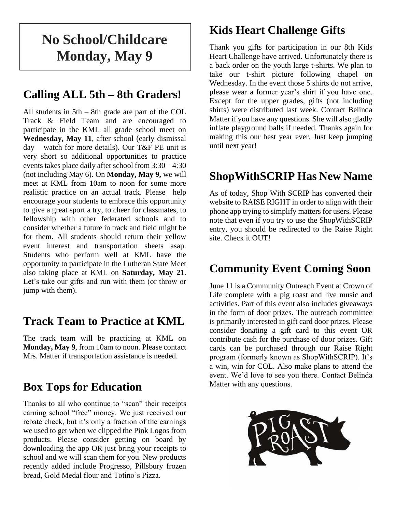# **No School/Childcare Monday, May 9**

# **Calling ALL 5th – 8th Graders!**

All students in 5th – 8th grade are part of the COL Track & Field Team and are encouraged to participate in the KML all grade school meet on **Wednesday, May 11**, after school (early dismissal day – watch for more details). Our T&F PE unit is very short so additional opportunities to practice events takes place daily after school from 3:30 – 4:30 (not including May 6). On **Monday, May 9,** we will meet at KML from 10am to noon for some more realistic practice on an actual track. Please help encourage your students to embrace this opportunity to give a great sport a try, to cheer for classmates, to fellowship with other federated schools and to consider whether a future in track and field might be for them. All students should return their yellow event interest and transportation sheets asap. Students who perform well at KML have the opportunity to participate in the Lutheran State Meet also taking place at KML on **Saturday, May 21**. Let's take our gifts and run with them (or throw or jump with them).

# **Track Team to Practice at KML**

The track team will be practicing at KML on **Monday, May 9**, from 10am to noon. Please contact Mrs. Matter if transportation assistance is needed.

# **Box Tops for Education**

Thanks to all who continue to "scan" their receipts earning school "free" money. We just received our rebate check, but it's only a fraction of the earnings we used to get when we clipped the Pink Logos from products. Please consider getting on board by downloading the app OR just bring your receipts to school and we will scan them for you. New products recently added include Progresso, Pillsbury frozen bread, Gold Medal flour and Totino's Pizza.

# **Kids Heart Challenge Gifts**

Thank you gifts for participation in our 8th Kids Heart Challenge have arrived. Unfortunately there is a back order on the youth large t-shirts. We plan to take our t-shirt picture following chapel on Wednesday. In the event those 5 shirts do not arrive, please wear a former year's shirt if you have one. Except for the upper grades, gifts (not including shirts) were distributed last week. Contact Belinda Matter if you have any questions. She will also gladly inflate playground balls if needed. Thanks again for making this our best year ever. Just keep jumping until next year!

# **ShopWithSCRIP Has New Name**

As of today, Shop With SCRIP has converted their website to RAISE RIGHT in order to align with their phone app trying to simplify matters for users. Please note that even if you try to use the ShopWithSCRIP entry, you should be redirected to the Raise Right site. Check it OUT!

# **Community Event Coming Soon**

June 11 is a Community Outreach Event at Crown of Life complete with a pig roast and live music and activities. Part of this event also includes giveaways in the form of door prizes. The outreach committee is primarily interested in gift card door prizes. Please consider donating a gift card to this event OR contribute cash for the purchase of door prizes. Gift cards can be purchased through our Raise Right program (formerly known as ShopWithSCRIP). It's a win, win for COL. Also make plans to attend the event. We'd love to see you there. Contact Belinda Matter with any questions.